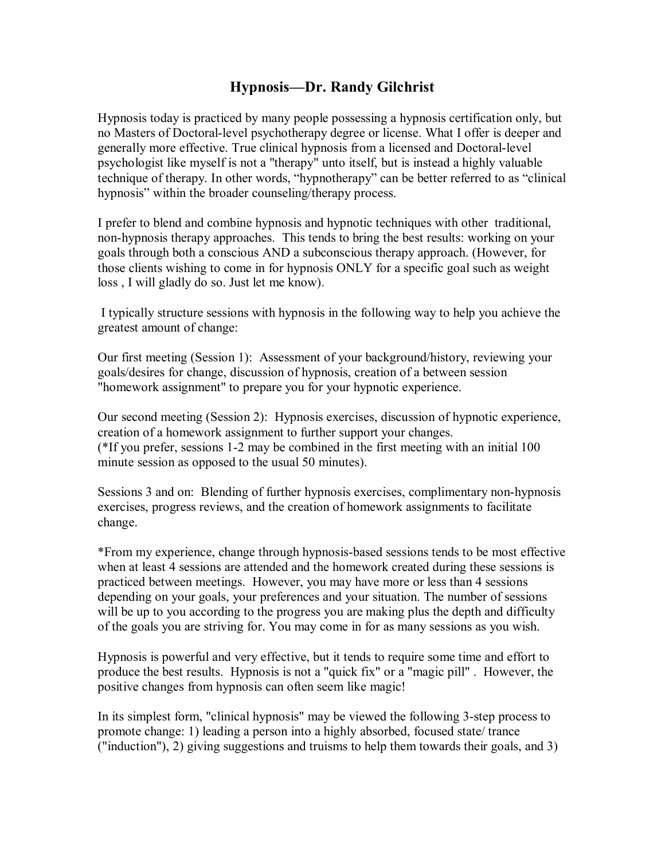## **Hypnosis—Dr. Randy Gilchrist**

Hypnosis today is practiced by many people possessing a hypnosis certification only, but no Masters of Doctoral-level psychotherapy degree or license. What I offer is deeper and generally more effective. True clinical hypnosis from a licensed and Doctoral-level psychologist like myself is not a "therapy" unto itself, but is instead a highly valuable technique of therapy. In other words, "hypnotherapy" can be better referred to as "clinical hypnosis" within the broader counseling/therapy process.

I prefer to blend and combine hypnosis and hypnotic techniques with other traditional, non-hypnosis therapy approaches. This tends to bring the best results: working on your goals through both a conscious AND a subconscious therapy approach. (However, for those clients wishing to come in for hypnosis ONLY for a specific goal such as weight loss , I will gladly do so. Just let me know).

 I typically structure sessions with hypnosis in the following way to help you achieve the greatest amount of change:

Our first meeting (Session 1): Assessment of your background/history, reviewing your goals/desires for change, discussion of hypnosis, creation of a between session "homework assignment" to prepare you for your hypnotic experience.

Our second meeting (Session 2): Hypnosis exercises, discussion of hypnotic experience, creation of a homework assignment to further support your changes. (\*If you prefer, sessions 1-2 may be combined in the first meeting with an initial 100 minute session as opposed to the usual 50 minutes).

Sessions 3 and on: Blending of further hypnosis exercises, complimentary non-hypnosis exercises, progress reviews, and the creation of homework assignments to facilitate change.

\*From my experience, change through hypnosis-based sessions tends to be most effective when at least 4 sessions are attended and the homework created during these sessions is practiced between meetings. However, you may have more or less than 4 sessions depending on your goals, your preferences and your situation. The number of sessions will be up to you according to the progress you are making plus the depth and difficulty of the goals you are striving for. You may come in for as many sessions as you wish.

Hypnosis is powerful and very effective, but it tends to require some time and effort to produce the best results. Hypnosis is not a "quick fix" or a "magic pill" . However, the positive changes from hypnosis can often seem like magic!

In its simplest form, "clinical hypnosis" may be viewed the following 3-step process to promote change: 1) leading a person into a highly absorbed, focused state/ trance ("induction"), 2) giving suggestions and truisms to help them towards their goals, and 3)